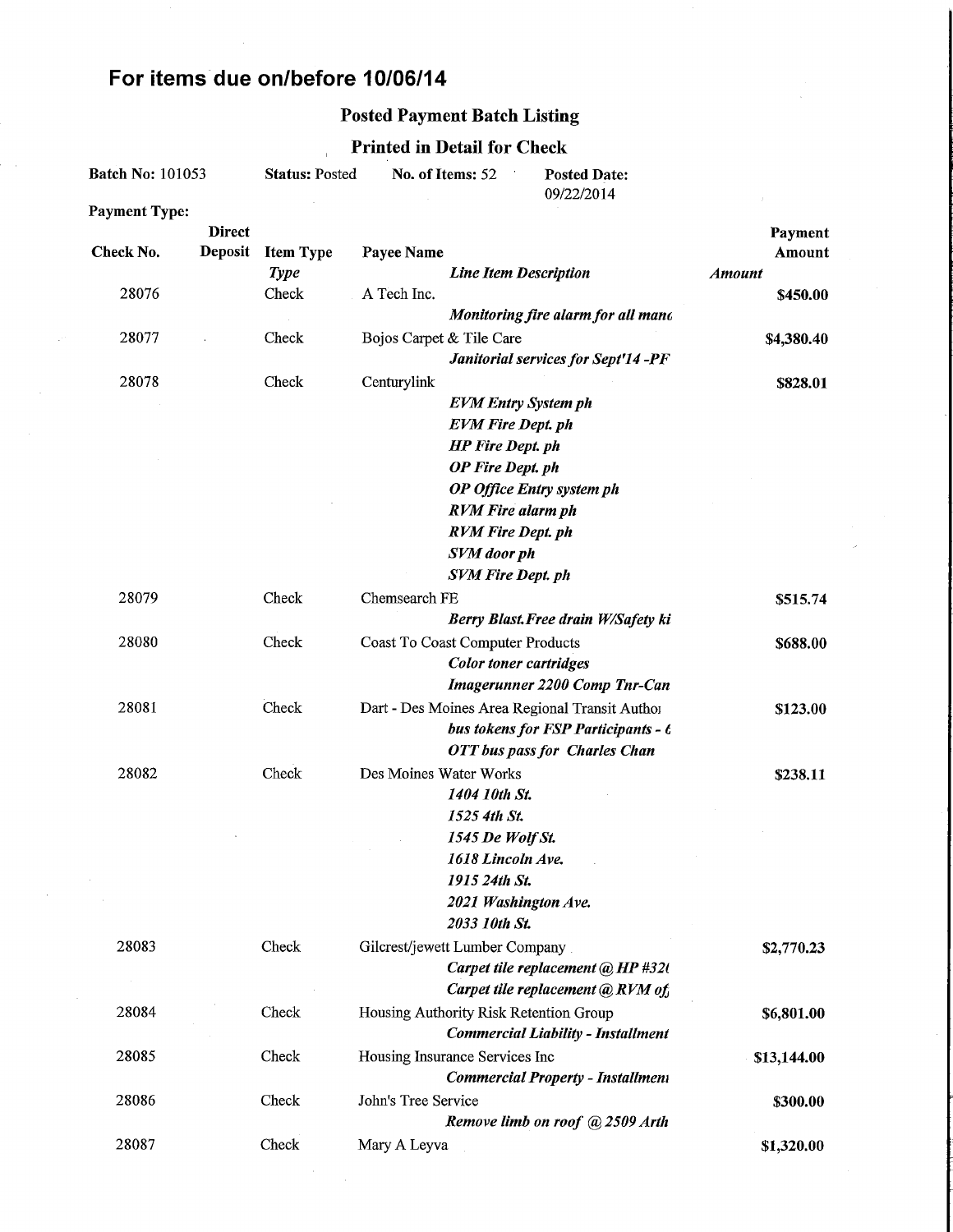# For items due on/before 10/06/14

### Posted Payment Batch Listing

#### Printed in Detail for Check

| <b>Batch No: 101053</b> |                | <b>Status: Posted</b> | No. of Items: 52         |                                        | <b>Posted Date:</b><br>09/22/2014              |               |  |
|-------------------------|----------------|-----------------------|--------------------------|----------------------------------------|------------------------------------------------|---------------|--|
| <b>Payment Type:</b>    |                |                       |                          |                                        |                                                |               |  |
|                         | <b>Direct</b>  |                       |                          |                                        |                                                | Payment       |  |
| Check No.               | <b>Deposit</b> | <b>Item Type</b>      | Payee Name               |                                        |                                                | Amount        |  |
|                         |                | <b>Type</b>           |                          | <b>Line Item Description</b>           |                                                | <b>Amount</b> |  |
| 28076                   |                | Check                 | A Tech Inc.              |                                        |                                                | \$450.00      |  |
|                         |                |                       |                          |                                        | Monitoring fire alarm for all mand             |               |  |
| 28077                   |                | Check                 | Bojos Carpet & Tile Care |                                        |                                                | \$4,380.40    |  |
|                         |                |                       |                          |                                        | Janitorial services for Sept'14-PF             |               |  |
| 28078                   |                | Check                 | Centurylink              |                                        |                                                | \$828.01      |  |
|                         |                |                       |                          | <b>EVM Entry System ph</b>             |                                                |               |  |
|                         |                |                       |                          | <b>EVM Fire Dept. ph</b>               |                                                |               |  |
|                         |                |                       |                          | <b>HP</b> Fire Dept. ph                |                                                |               |  |
|                         |                |                       |                          | OP Fire Dept. ph                       |                                                |               |  |
|                         |                |                       |                          | OP Office Entry system ph              |                                                |               |  |
|                         |                |                       |                          | <b>RVM</b> Fire alarm ph               |                                                |               |  |
|                         |                |                       |                          | <b>RVM Fire Dept. ph</b>               |                                                |               |  |
|                         |                |                       |                          | <b>SVM</b> door ph                     |                                                |               |  |
|                         |                |                       |                          | <b>SVM Fire Dept. ph</b>               |                                                |               |  |
| 28079                   |                | Check                 | Chemsearch FE            |                                        |                                                | \$515.74      |  |
|                         |                |                       |                          |                                        | Berry Blast. Free drain W/Safety ki            |               |  |
| 28080                   |                | Check                 |                          | Coast To Coast Computer Products       |                                                | \$688.00      |  |
|                         |                |                       |                          | <b>Color</b> toner cartridges          |                                                |               |  |
|                         |                |                       |                          |                                        | <b>Imagerunner 2200 Comp Tnr-Can</b>           |               |  |
| 28081                   |                | Check                 |                          |                                        | Dart - Des Moines Area Regional Transit Author | \$123.00      |  |
|                         |                |                       |                          |                                        | bus tokens for FSP Participants - t            |               |  |
|                         |                |                       |                          |                                        | <b>OTT</b> bus pass for Charles Chan           |               |  |
| 28082                   |                | Check                 | Des Moines Water Works   |                                        |                                                | \$238.11      |  |
|                         |                |                       |                          | 1404 10th St.                          |                                                |               |  |
|                         |                |                       |                          | 1525 4th St.                           |                                                |               |  |
|                         |                |                       |                          | 1545 De Wolf St.                       |                                                |               |  |
|                         |                |                       |                          | 1618 Lincoln Ave.                      |                                                |               |  |
|                         |                |                       |                          | 1915 24th St.                          |                                                |               |  |
|                         |                |                       |                          | 2021 Washington Ave.                   |                                                |               |  |
|                         |                |                       |                          | 2033 10th St.                          |                                                |               |  |
| 28083                   |                | Check                 |                          | Gilcrest/jewett Lumber Company         |                                                | \$2,770.23    |  |
|                         |                |                       |                          |                                        | Carpet tile replacement @ HP #32t              |               |  |
|                         |                |                       |                          |                                        | Carpet tile replacement @ RVM of               |               |  |
| 28084                   |                | Check                 |                          | Housing Authority Risk Retention Group |                                                | \$6,801.00    |  |
|                         |                |                       |                          |                                        | <b>Commercial Liability - Installment</b>      |               |  |
| 28085                   |                | Check                 |                          | Housing Insurance Services Inc         |                                                | \$13,144.00   |  |
|                         |                |                       |                          |                                        | <b>Commercial Property - Installment</b>       |               |  |
| 28086                   |                | Check                 | John's Tree Service      |                                        |                                                | \$300.00      |  |
|                         |                |                       |                          |                                        | Remove limb on roof @ 2509 Arth                |               |  |
| 28087                   |                | Check                 | Mary A Leyva             |                                        |                                                | \$1,320.00    |  |
|                         |                |                       |                          |                                        |                                                |               |  |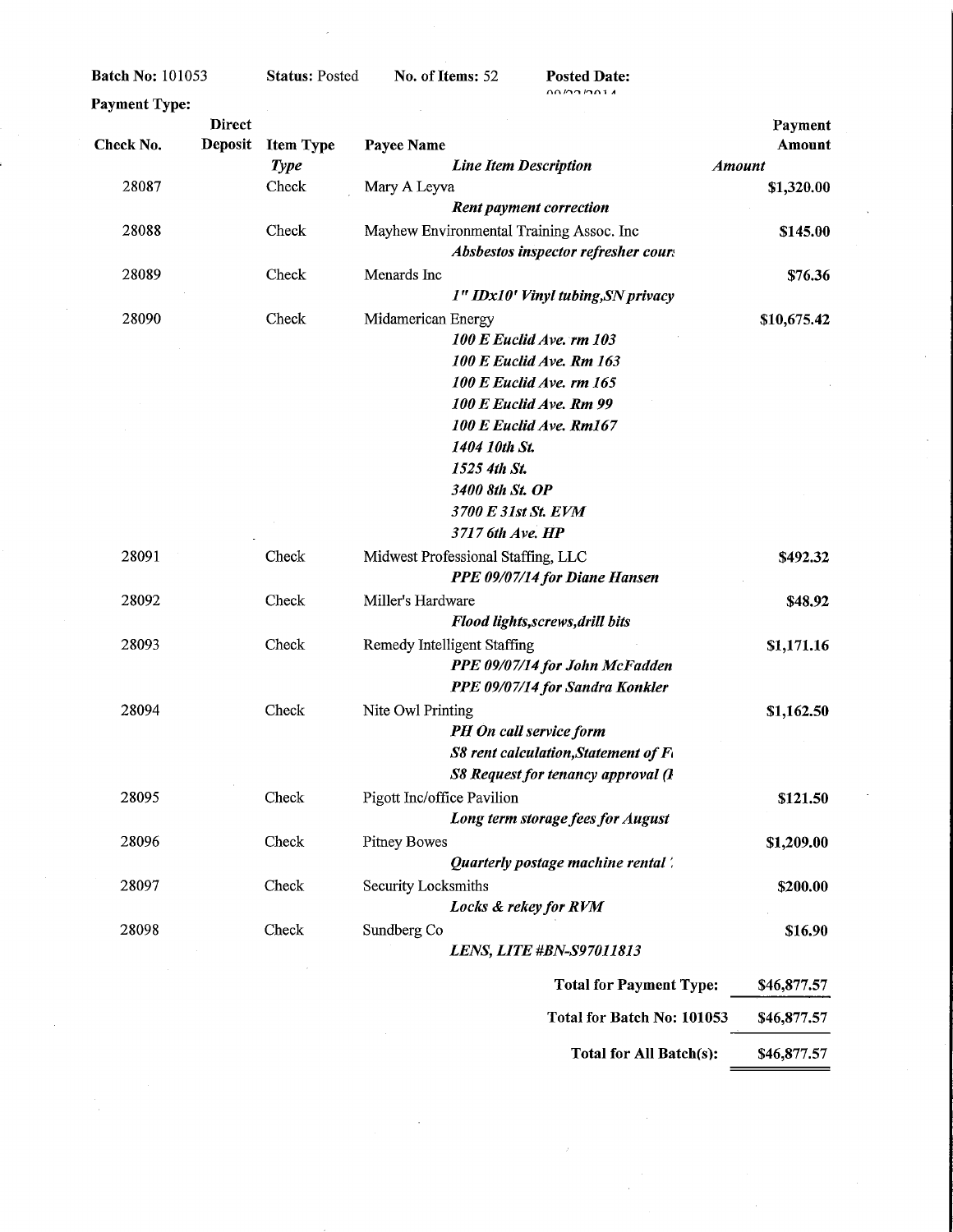Batch No: 101053

 $\overline{\phantom{a}}$ 

| Payment<br>Check No.<br><b>Deposit</b><br>Amount<br><b>Item Type</b><br>Payee Name<br><b>Type</b><br><b>Line Item Description</b><br><b>Amount</b><br>Check<br>28087<br>Mary A Leyva<br>\$1,320.00<br><b>Rent payment correction</b><br>28088<br>Check<br>Mayhew Environmental Training Assoc. Inc<br>\$145.00<br>Absbestos inspector refresher cours<br>28089<br>Check<br>Menards Inc<br>\$76.36<br>1" IDx10' Vinyl tubing, SN privacy<br>28090<br>Check<br>Midamerican Energy<br>\$10,675.42<br>100 E Euclid Ave. rm 103<br>100 E Euclid Ave. Rm 163<br>100 E Euclid Ave. rm 165<br>100 E Euclid Ave. Rm 99<br>100 E Euclid Ave. Rm167<br>1404 10th St.<br>1525 4th St.<br>3400 8th St. OP<br>3700 E 31st St. EVM<br>3717 6th Ave. HP<br>28091<br>Check<br>Midwest Professional Staffing, LLC<br>\$492.32<br>PPE 09/07/14 for Diane Hansen<br>Check<br>28092<br>Miller's Hardware<br>\$48.92<br>Flood lights, screws, drill bits<br>28093<br>Check<br>Remedy Intelligent Staffing<br>\$1,171.16<br>PPE 09/07/14 for John McFadden<br>PPE 09/07/14 for Sandra Konkler<br>Check<br>28094<br>Nite Owl Printing<br>\$1,162.50<br>PH On call service form<br>S8 rent calculation, Statement of Fi<br>S8 Request for tenancy approval (1<br>28095<br>Pigott Inc/office Pavilion<br>Check<br>\$121.50<br>Long term storage fees for August<br>28096<br>Check<br><b>Pitney Bowes</b><br>\$1,209.00<br>Quarterly postage machine rental'.<br><b>Security Locksmiths</b><br>28097<br>Check<br>\$200.00<br>Locks & rekey for RVM<br>28098<br>Check<br>Sundberg Co<br>\$16.90<br>LENS, LITE #BN-S97011813<br><b>Total for Payment Type:</b><br>\$46,877.57<br>Total for Batch No: 101053<br>\$46,877.57 |  | <b>Direct</b> | Payment Type: |
|-----------------------------------------------------------------------------------------------------------------------------------------------------------------------------------------------------------------------------------------------------------------------------------------------------------------------------------------------------------------------------------------------------------------------------------------------------------------------------------------------------------------------------------------------------------------------------------------------------------------------------------------------------------------------------------------------------------------------------------------------------------------------------------------------------------------------------------------------------------------------------------------------------------------------------------------------------------------------------------------------------------------------------------------------------------------------------------------------------------------------------------------------------------------------------------------------------------------------------------------------------------------------------------------------------------------------------------------------------------------------------------------------------------------------------------------------------------------------------------------------------------------------------------------------------------------------------------------------------------------------------------------------------------------------------------------------|--|---------------|---------------|
|                                                                                                                                                                                                                                                                                                                                                                                                                                                                                                                                                                                                                                                                                                                                                                                                                                                                                                                                                                                                                                                                                                                                                                                                                                                                                                                                                                                                                                                                                                                                                                                                                                                                                               |  |               |               |
|                                                                                                                                                                                                                                                                                                                                                                                                                                                                                                                                                                                                                                                                                                                                                                                                                                                                                                                                                                                                                                                                                                                                                                                                                                                                                                                                                                                                                                                                                                                                                                                                                                                                                               |  |               |               |
|                                                                                                                                                                                                                                                                                                                                                                                                                                                                                                                                                                                                                                                                                                                                                                                                                                                                                                                                                                                                                                                                                                                                                                                                                                                                                                                                                                                                                                                                                                                                                                                                                                                                                               |  |               |               |
|                                                                                                                                                                                                                                                                                                                                                                                                                                                                                                                                                                                                                                                                                                                                                                                                                                                                                                                                                                                                                                                                                                                                                                                                                                                                                                                                                                                                                                                                                                                                                                                                                                                                                               |  |               |               |
|                                                                                                                                                                                                                                                                                                                                                                                                                                                                                                                                                                                                                                                                                                                                                                                                                                                                                                                                                                                                                                                                                                                                                                                                                                                                                                                                                                                                                                                                                                                                                                                                                                                                                               |  |               |               |
|                                                                                                                                                                                                                                                                                                                                                                                                                                                                                                                                                                                                                                                                                                                                                                                                                                                                                                                                                                                                                                                                                                                                                                                                                                                                                                                                                                                                                                                                                                                                                                                                                                                                                               |  |               |               |
|                                                                                                                                                                                                                                                                                                                                                                                                                                                                                                                                                                                                                                                                                                                                                                                                                                                                                                                                                                                                                                                                                                                                                                                                                                                                                                                                                                                                                                                                                                                                                                                                                                                                                               |  |               |               |
|                                                                                                                                                                                                                                                                                                                                                                                                                                                                                                                                                                                                                                                                                                                                                                                                                                                                                                                                                                                                                                                                                                                                                                                                                                                                                                                                                                                                                                                                                                                                                                                                                                                                                               |  |               |               |
|                                                                                                                                                                                                                                                                                                                                                                                                                                                                                                                                                                                                                                                                                                                                                                                                                                                                                                                                                                                                                                                                                                                                                                                                                                                                                                                                                                                                                                                                                                                                                                                                                                                                                               |  |               |               |
|                                                                                                                                                                                                                                                                                                                                                                                                                                                                                                                                                                                                                                                                                                                                                                                                                                                                                                                                                                                                                                                                                                                                                                                                                                                                                                                                                                                                                                                                                                                                                                                                                                                                                               |  |               |               |
|                                                                                                                                                                                                                                                                                                                                                                                                                                                                                                                                                                                                                                                                                                                                                                                                                                                                                                                                                                                                                                                                                                                                                                                                                                                                                                                                                                                                                                                                                                                                                                                                                                                                                               |  |               |               |
|                                                                                                                                                                                                                                                                                                                                                                                                                                                                                                                                                                                                                                                                                                                                                                                                                                                                                                                                                                                                                                                                                                                                                                                                                                                                                                                                                                                                                                                                                                                                                                                                                                                                                               |  |               |               |
|                                                                                                                                                                                                                                                                                                                                                                                                                                                                                                                                                                                                                                                                                                                                                                                                                                                                                                                                                                                                                                                                                                                                                                                                                                                                                                                                                                                                                                                                                                                                                                                                                                                                                               |  |               |               |
|                                                                                                                                                                                                                                                                                                                                                                                                                                                                                                                                                                                                                                                                                                                                                                                                                                                                                                                                                                                                                                                                                                                                                                                                                                                                                                                                                                                                                                                                                                                                                                                                                                                                                               |  |               |               |
|                                                                                                                                                                                                                                                                                                                                                                                                                                                                                                                                                                                                                                                                                                                                                                                                                                                                                                                                                                                                                                                                                                                                                                                                                                                                                                                                                                                                                                                                                                                                                                                                                                                                                               |  |               |               |
|                                                                                                                                                                                                                                                                                                                                                                                                                                                                                                                                                                                                                                                                                                                                                                                                                                                                                                                                                                                                                                                                                                                                                                                                                                                                                                                                                                                                                                                                                                                                                                                                                                                                                               |  |               |               |
|                                                                                                                                                                                                                                                                                                                                                                                                                                                                                                                                                                                                                                                                                                                                                                                                                                                                                                                                                                                                                                                                                                                                                                                                                                                                                                                                                                                                                                                                                                                                                                                                                                                                                               |  |               |               |
|                                                                                                                                                                                                                                                                                                                                                                                                                                                                                                                                                                                                                                                                                                                                                                                                                                                                                                                                                                                                                                                                                                                                                                                                                                                                                                                                                                                                                                                                                                                                                                                                                                                                                               |  |               |               |
|                                                                                                                                                                                                                                                                                                                                                                                                                                                                                                                                                                                                                                                                                                                                                                                                                                                                                                                                                                                                                                                                                                                                                                                                                                                                                                                                                                                                                                                                                                                                                                                                                                                                                               |  |               |               |
|                                                                                                                                                                                                                                                                                                                                                                                                                                                                                                                                                                                                                                                                                                                                                                                                                                                                                                                                                                                                                                                                                                                                                                                                                                                                                                                                                                                                                                                                                                                                                                                                                                                                                               |  |               |               |
|                                                                                                                                                                                                                                                                                                                                                                                                                                                                                                                                                                                                                                                                                                                                                                                                                                                                                                                                                                                                                                                                                                                                                                                                                                                                                                                                                                                                                                                                                                                                                                                                                                                                                               |  |               |               |
|                                                                                                                                                                                                                                                                                                                                                                                                                                                                                                                                                                                                                                                                                                                                                                                                                                                                                                                                                                                                                                                                                                                                                                                                                                                                                                                                                                                                                                                                                                                                                                                                                                                                                               |  |               |               |
|                                                                                                                                                                                                                                                                                                                                                                                                                                                                                                                                                                                                                                                                                                                                                                                                                                                                                                                                                                                                                                                                                                                                                                                                                                                                                                                                                                                                                                                                                                                                                                                                                                                                                               |  |               |               |
|                                                                                                                                                                                                                                                                                                                                                                                                                                                                                                                                                                                                                                                                                                                                                                                                                                                                                                                                                                                                                                                                                                                                                                                                                                                                                                                                                                                                                                                                                                                                                                                                                                                                                               |  |               |               |
|                                                                                                                                                                                                                                                                                                                                                                                                                                                                                                                                                                                                                                                                                                                                                                                                                                                                                                                                                                                                                                                                                                                                                                                                                                                                                                                                                                                                                                                                                                                                                                                                                                                                                               |  |               |               |
|                                                                                                                                                                                                                                                                                                                                                                                                                                                                                                                                                                                                                                                                                                                                                                                                                                                                                                                                                                                                                                                                                                                                                                                                                                                                                                                                                                                                                                                                                                                                                                                                                                                                                               |  |               |               |
|                                                                                                                                                                                                                                                                                                                                                                                                                                                                                                                                                                                                                                                                                                                                                                                                                                                                                                                                                                                                                                                                                                                                                                                                                                                                                                                                                                                                                                                                                                                                                                                                                                                                                               |  |               |               |
|                                                                                                                                                                                                                                                                                                                                                                                                                                                                                                                                                                                                                                                                                                                                                                                                                                                                                                                                                                                                                                                                                                                                                                                                                                                                                                                                                                                                                                                                                                                                                                                                                                                                                               |  |               |               |
|                                                                                                                                                                                                                                                                                                                                                                                                                                                                                                                                                                                                                                                                                                                                                                                                                                                                                                                                                                                                                                                                                                                                                                                                                                                                                                                                                                                                                                                                                                                                                                                                                                                                                               |  |               |               |
|                                                                                                                                                                                                                                                                                                                                                                                                                                                                                                                                                                                                                                                                                                                                                                                                                                                                                                                                                                                                                                                                                                                                                                                                                                                                                                                                                                                                                                                                                                                                                                                                                                                                                               |  |               |               |
|                                                                                                                                                                                                                                                                                                                                                                                                                                                                                                                                                                                                                                                                                                                                                                                                                                                                                                                                                                                                                                                                                                                                                                                                                                                                                                                                                                                                                                                                                                                                                                                                                                                                                               |  |               |               |
|                                                                                                                                                                                                                                                                                                                                                                                                                                                                                                                                                                                                                                                                                                                                                                                                                                                                                                                                                                                                                                                                                                                                                                                                                                                                                                                                                                                                                                                                                                                                                                                                                                                                                               |  |               |               |
|                                                                                                                                                                                                                                                                                                                                                                                                                                                                                                                                                                                                                                                                                                                                                                                                                                                                                                                                                                                                                                                                                                                                                                                                                                                                                                                                                                                                                                                                                                                                                                                                                                                                                               |  |               |               |
|                                                                                                                                                                                                                                                                                                                                                                                                                                                                                                                                                                                                                                                                                                                                                                                                                                                                                                                                                                                                                                                                                                                                                                                                                                                                                                                                                                                                                                                                                                                                                                                                                                                                                               |  |               |               |
|                                                                                                                                                                                                                                                                                                                                                                                                                                                                                                                                                                                                                                                                                                                                                                                                                                                                                                                                                                                                                                                                                                                                                                                                                                                                                                                                                                                                                                                                                                                                                                                                                                                                                               |  |               |               |
|                                                                                                                                                                                                                                                                                                                                                                                                                                                                                                                                                                                                                                                                                                                                                                                                                                                                                                                                                                                                                                                                                                                                                                                                                                                                                                                                                                                                                                                                                                                                                                                                                                                                                               |  |               |               |
|                                                                                                                                                                                                                                                                                                                                                                                                                                                                                                                                                                                                                                                                                                                                                                                                                                                                                                                                                                                                                                                                                                                                                                                                                                                                                                                                                                                                                                                                                                                                                                                                                                                                                               |  |               |               |
|                                                                                                                                                                                                                                                                                                                                                                                                                                                                                                                                                                                                                                                                                                                                                                                                                                                                                                                                                                                                                                                                                                                                                                                                                                                                                                                                                                                                                                                                                                                                                                                                                                                                                               |  |               |               |
|                                                                                                                                                                                                                                                                                                                                                                                                                                                                                                                                                                                                                                                                                                                                                                                                                                                                                                                                                                                                                                                                                                                                                                                                                                                                                                                                                                                                                                                                                                                                                                                                                                                                                               |  |               |               |
|                                                                                                                                                                                                                                                                                                                                                                                                                                                                                                                                                                                                                                                                                                                                                                                                                                                                                                                                                                                                                                                                                                                                                                                                                                                                                                                                                                                                                                                                                                                                                                                                                                                                                               |  |               |               |

Total for All Batch(s): \$46,877.57

 $\bar{z}$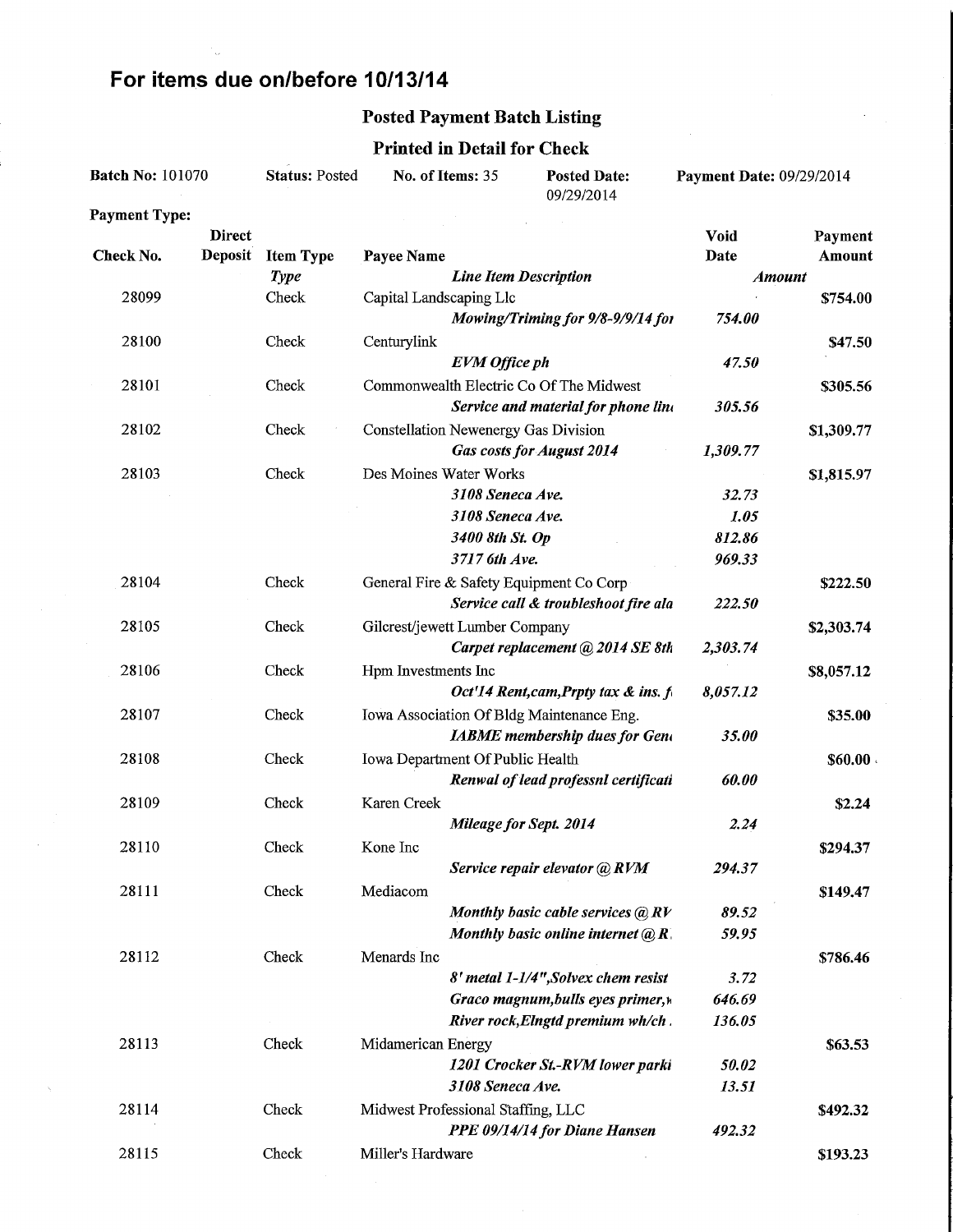## For items due on/before 10/13/14

### Posted Payment Batch Listing

### Printed in Detail for Check

| <b>Batch No: 101070</b> |                | <b>Status: Posted</b> | No. of Items: 35                          | <b>Posted Date:</b><br>09/29/2014            | Payment Date: 09/29/2014 |            |
|-------------------------|----------------|-----------------------|-------------------------------------------|----------------------------------------------|--------------------------|------------|
| <b>Payment Type:</b>    |                |                       |                                           |                                              |                          |            |
|                         | <b>Direct</b>  |                       |                                           |                                              | <b>Void</b>              | Payment    |
| Check No.               | <b>Deposit</b> | <b>Item Type</b>      | Payee Name                                |                                              | Date                     | Amount     |
|                         |                | Type                  | <b>Line Item Description</b>              |                                              | <b>Amount</b>            |            |
| 28099                   |                | Check                 | Capital Landscaping Llc                   |                                              |                          | \$754.00   |
|                         |                |                       |                                           | Mowing/Triming for 9/8-9/9/14 for            | 754.00                   |            |
| 28100                   |                | Check                 | Centurylink                               |                                              |                          | \$47.50    |
|                         |                |                       | <b>EVM</b> Office ph                      |                                              | 47.50                    |            |
| 28101                   |                | Check                 |                                           | Commonwealth Electric Co Of The Midwest      |                          | \$305.56   |
|                         |                |                       |                                           | Service and material for phone line          | 305.56                   |            |
| 28102                   |                | Check                 | Constellation Newenergy Gas Division      |                                              |                          | \$1,309.77 |
|                         |                |                       |                                           | <b>Gas costs for August 2014</b>             | 1,309.77                 |            |
| 28103                   |                | Check                 | Des Moines Water Works                    |                                              |                          | \$1,815.97 |
|                         |                |                       |                                           | 3108 Seneca Ave.                             | 32.73                    |            |
|                         |                |                       |                                           | 3108 Seneca Ave.                             | 1.05                     |            |
|                         |                |                       | 3400 8th St. Op                           |                                              | 812.86                   |            |
|                         |                |                       | 3717 6th Ave.                             |                                              | 969.33                   |            |
| 28104                   |                | Check                 | General Fire & Safety Equipment Co Corp   |                                              |                          | \$222.50   |
|                         |                |                       |                                           | Service call & troubleshoot fire ala         | 222.50                   |            |
|                         |                |                       |                                           |                                              |                          |            |
| 28105                   |                | Check                 | Gilcrest/jewett Lumber Company            |                                              |                          | \$2,303.74 |
|                         |                |                       |                                           | Carpet replacement @ 2014 SE 8th             | 2,303.74                 |            |
| 28106                   |                | Check                 | Hpm Investments Inc                       |                                              |                          | \$8,057.12 |
|                         |                |                       |                                           | Oct'14 Rent, cam, Prpty tax & ins. f         | 8,057.12                 |            |
| 28107                   |                | Check                 | Iowa Association Of Bldg Maintenance Eng. |                                              |                          | \$35.00    |
|                         |                |                       |                                           | <b>IABME</b> membership dues for Gene        | 35.00                    |            |
| 28108                   |                | Check                 | Iowa Department Of Public Health          |                                              |                          | \$60.00\$  |
|                         |                |                       |                                           | Renwal of lead professnl certificati         | 60.00                    |            |
| 28109                   |                | Check                 | Karen Creek                               |                                              |                          | \$2.24     |
|                         |                |                       |                                           | Mileage for Sept. 2014                       | 2.24                     |            |
| 28110                   |                | Check                 | Kone Inc                                  |                                              |                          | \$294.37   |
|                         |                |                       |                                           | Service repair elevator @ RVM                | 294.37                   |            |
| 28111                   |                | Check                 | Mediacom                                  |                                              |                          | \$149.47   |
|                         |                |                       |                                           | Monthly basic cable services $\mathcal Q$ RV | 89.52                    |            |
|                         |                |                       |                                           | Monthly basic online internet $@R$ .         | 59.95                    |            |
| 28112                   |                | Check                 | Menards Inc                               |                                              |                          | \$786.46   |
|                         |                |                       |                                           | 8' metal 1-1/4", Solvex chem resist          | 3.72                     |            |
|                         |                |                       |                                           | Graco magnum, bulls eyes primer, w           | 646.69                   |            |
|                         |                |                       |                                           | River rock, Elngtd premium wh/ch.            | 136.05                   |            |
| 28113                   |                | Check                 | Midamerican Energy                        |                                              |                          | \$63.53    |
|                         |                |                       |                                           | 1201 Crocker St.-RVM lower parki             | 50.02                    |            |
|                         |                |                       |                                           | 3108 Seneca Ave.                             | 13.51                    |            |
| 28114                   |                | Check                 | Midwest Professional Staffing, LLC        |                                              |                          | \$492.32   |
|                         |                |                       |                                           | PPE 09/14/14 for Diane Hansen                | 492.32                   |            |
| 28115                   |                | Check                 | Miller's Hardware                         |                                              |                          | \$193.23   |
|                         |                |                       |                                           |                                              |                          |            |